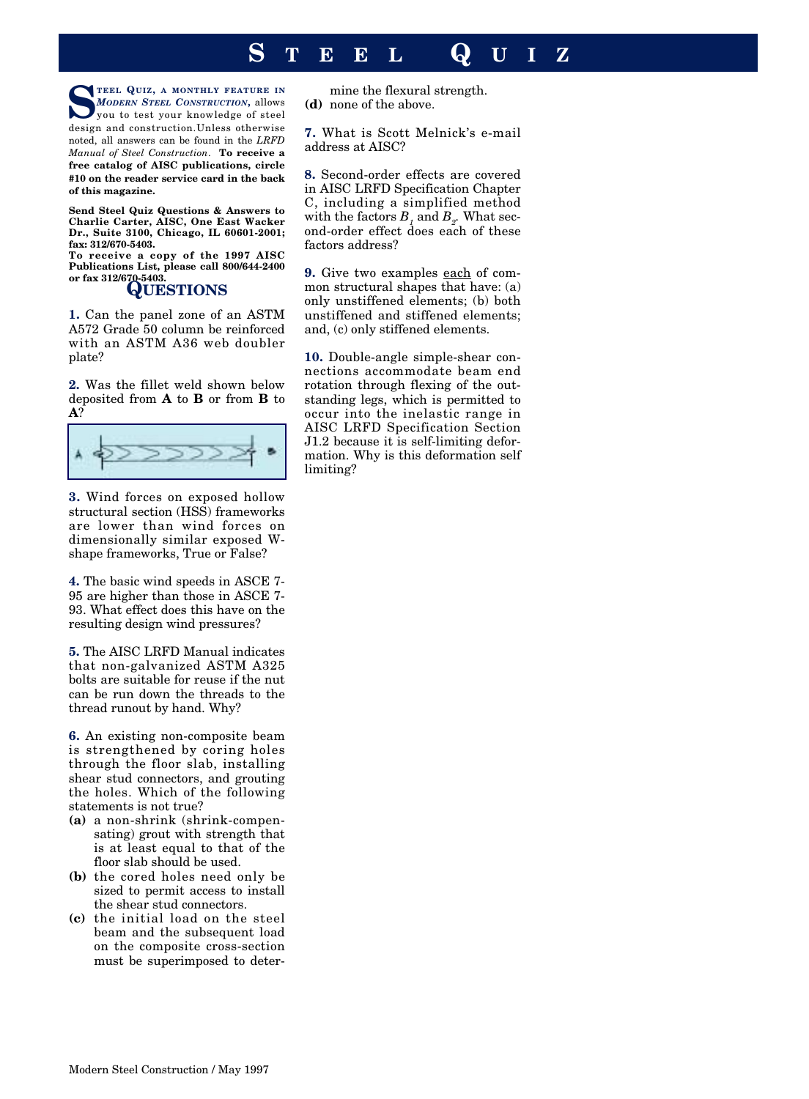## **S TEEL Q UIZ**

**STEEL QUIZ, A MONTHLY FEATURE IN** *MODERN STEEL CONSTRUCTION***,** allows you to test your knowledge of steel design and construction.Unless otherwise noted, all answers can be found in the *LRFD Manual of Steel Construction*. **To receive a free catalog of AISC publications, circle #10 on the reader service card in the back of this magazine.** 

**Send Steel Quiz Questions & Answers to Charlie Carter, AISC, One East Wacker Dr., Suite 3100, Chicago, IL 60601-2001; fax: 312/670-5403.**

**To receive a copy of the 1997 AISC Publications List, please call 800/644-2400**

## **QUESTIONS**

**1.** Can the panel zone of an ASTM A572 Grade 50 column be reinforced with an ASTM A36 web doubler plate?

**2.** Was the fillet weld shown below deposited from **A** to **B** or from **B** to **A**?



**3.** Wind forces on exposed hollow structural section (HSS) frameworks are lower than wind forces on dimensionally similar exposed Wshape frameworks, True or False?

**4.** The basic wind speeds in ASCE 7- 95 are higher than those in ASCE 7- 93. What effect does this have on the resulting design wind pressures?

**5.** The AISC LRFD Manual indicates that non-galvanized ASTM A325 bolts are suitable for reuse if the nut can be run down the threads to the thread runout by hand. Why?

**6.** An existing non-composite beam is strengthened by coring holes through the floor slab, installing shear stud connectors, and grouting the holes. Which of the following statements is not true?

- **(a)** a non-shrink (shrink-compensating) grout with strength that is at least equal to that of the floor slab should be used.
- **(b)** the cored holes need only be sized to permit access to install the shear stud connectors.
- **(c)** the initial load on the steel beam and the subsequent load on the composite cross-section must be superimposed to deter-

mine the flexural strength. **(d)** none of the above.

**7.** What is Scott Melnick's e-mail address at AISC?

**8.** Second-order effects are covered in AISC LRFD Specification Chapter C, including a simplified method with the factors  $B_1$  and  $B_2$ . What second-order effect does each of these factors address?

**9.** Give two examples each of common structural shapes that have: (a) only unstiffened elements; (b) both unstiffened and stiffened elements; and, (c) only stiffened elements.

**10.** Double-angle simple-shear connections accommodate beam end rotation through flexing of the outstanding legs, which is permitted to occur into the inelastic range in AISC LRFD Specification Section J1.2 because it is self-limiting deformation. Why is this deformation self limiting?